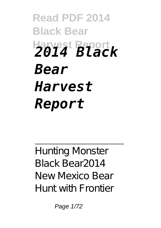## **Read PDF 2014 Black Bear Harvest Report** *2014 Black Bear Harvest Report*

Hunting Monster Black Bear*2014 New Mexico Bear Hunt with Frontier*

Page 1/72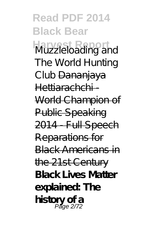**Read PDF 2014 Black Bear Harvest Report** *Muzzleloading and The World Hunting Club* Dananjaya Hettiarachchi World Champion of Public Speaking 2014 Full Speech Reparations for Black Americans in the 21st Century **Black Lives Matter explained: The history of a** Page 2/72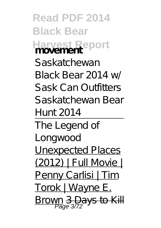**Read PDF 2014 Black Bear Harvest Report movement** *Saskatchewan Black Bear 2014 w/ Sask Can Outfitters Saskatchewan Bear Hunt 2014* The Legend of Longwood Unexpected Places (2012) | Full Movie | Penny Carlisi | Tim Torok | Wayne E. Brown 3 Days to Kill Page 3/72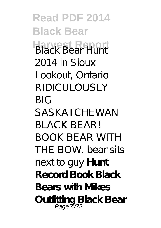**Read PDF 2014 Black Bear Harvest Report** *Black Bear Hunt 2014 in Sioux Lookout, Ontario RIDICULOUSLY BIG SASKATCHEWAN BLACK BEAR! BOOK BEAR WITH THE BOW. bear sits next to guy* **Hunt Record Book Black Bears with Mikes Outfitting Black Bear** Page 4/72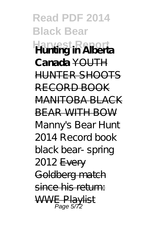**Read PDF 2014 Black Bear Harvest Report Hunting in Alberta Canada** YOUTH HUNTER SHOOTS RECORD BOOK MANITOBA BLACK BEAR WITH BOW *Manny's Bear Hunt 2014 Record book black bear- spring 2012* Every Goldberg match since his return: WWE Playlist Page 5/72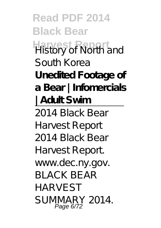**Read PDF 2014 Black Bear History of North and** South Korea **Unedited Footage of a Bear | Infomercials | Adult Swim** 2014 Black Bear **Harvest Report** 2014 Black Bear **Harvest Report** www.dec.ny.gov. BLACK BEAR HARVEST SUMMARY 2014. Page 6/72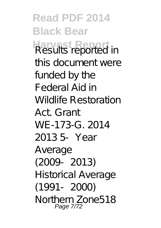**Read PDF 2014 Black Bear Harvest Report** Results reported in this document were funded by the Federal Aid in Wildlife Restoration Act. Grant WE-173-G. 2014 2013 5‐Year Average (2009‐2013) Historical Average (1991‐2000) Northern Zone518 Page 7/72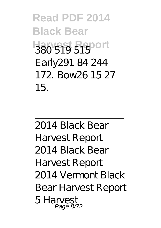**Read PDF 2014 Black Bear Harvest Report** 380 519 515 Early291 84 244 172. Bow26 15 27 15.

2014 Black Bear **Harvest Report** 2014 Black Bear **Harvest Report** 2014 Vermont Black Bear Harvest Report 5 Harvest Page 8/72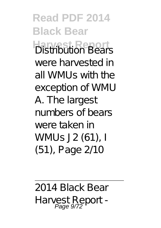**Read PDF 2014 Black Bear Harvest Report** Distribution Bears were harvested in all WMUs with the exception of WMU A. The largest numbers of bears were taken in WMUs J2 (61), I (51), Page 2/10

2014 Black Bear Harvest Report - Page 9/72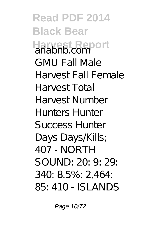**Read PDF 2014 Black Bear Harvest Report** GMU Fall Male Harvest Fall Female Harvest Total Harvest Number Hunters Hunter Success Hunter Days Days/Kills; 407 - NORTH SOUND: 20: 9: 29: 340: 8.5%: 2,464: 85: 410 - ISLANDS

Page 10/72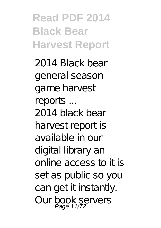**Read PDF 2014 Black Bear Harvest Report**

2014 Black bear general season game harvest reports ... 2014 black bear harvest report is available in our digital library an online access to it is set as public so you can get it instantly. Our book servers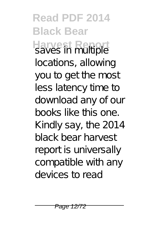**Read PDF 2014 Black Bear Harvest Report** saves in multiple locations, allowing you to get the most less latency time to download any of our books like this one. Kindly say, the 2014 black bear harvest report is universally compatible with any devices to read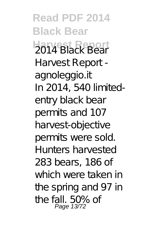**Read PDF 2014 Black Bear Harvest Report** 2014 Black Bear Harvest Report agnoleggio.it In 2014, 540 limitedentry black bear permits and 107 harvest-objective permits were sold. Hunters harvested 283 bears, 186 of which were taken in the spring and 97 in the fall. 50% of Page 13/72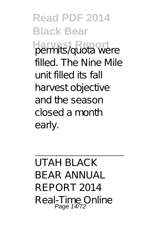**Read PDF 2014 Black Bear** permits/quota were filled. The Nine Mile unit filled its fall harvest objective and the season closed a month early.

UTAH BLACK BEAR ANNUAL REPORT 2014 Real-Time Online Page 14/72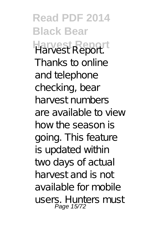**Read PDF 2014 Black Bear Harvest Report** Harvest Report. Thanks to online and telephone checking, bear harvest numbers are available to view how the season is going. This feature is updated within two days of actual harvest and is not available for mobile users. Hunters must Page 15/72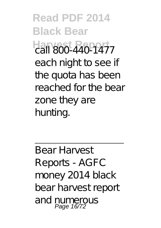**Read PDF 2014 Black Bear Harvest Report** call 800-440-1477 each night to see if the quota has been reached for the bear zone they are hunting.

Bear Harvest Reports - AGFC money 2014 black bear harvest report and numerous Page 16/72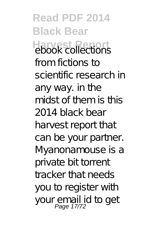**Read PDF 2014 Black Bear Harvest Report** ebook collections from fictions to scientific research in any way. in the midst of them is this 2014 black bear harvest report that can be your partner. Myanonamouse is a private bit torrent tracker that needs you to register with your email id to get<br>Page 17/72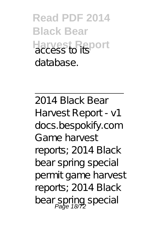**Read PDF 2014 Black Bear Harvest Report** database.

2014 Black Bear Harvest Report - v1 docs.bespokify.com Game harvest reports; 2014 Black bear spring special permit game harvest reports; 2014 Black bear spring special<br>Page 18/72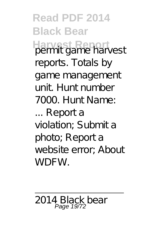**Read PDF 2014 Black Bear Harvest Report** permit game harvest reports. Totals by game management unit. Hunt number 7000. Hunt Name: ... Report a violation; Submit a photo; Report a website error; About WDFW.

2014 Black bear Page 19/72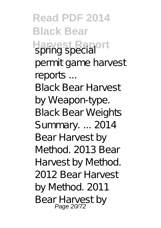**Read PDF 2014 Black Bear Harvest Report** spring special permit game harvest reports ... Black Bear Harvest by Weapon-type. Black Bear Weights Summary. ... 2014 Bear Harvest by Method. 2013 Bear Harvest by Method. 2012 Bear Harvest by Method. 2011 Bear Harvest by Page 20/72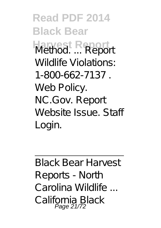**Read PDF 2014 Black Bear Harvest Report** Method. ... Report Wildlife Violations: 1-800-662-7137 . Web Policy. NC.Gov. Report Website Issue. Staff Login.

Black Bear Harvest Reports - North Carolina Wildlife ... California Black Page 21/72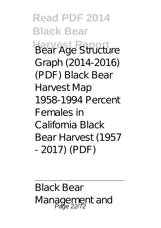**Read PDF 2014 Black Bear Harvest Report** Bear Age Structure Graph (2014-2016) (PDF) Black Bear Harvest Map 1958-1994 Percent Females in California Black Bear Harvest (1957 - 2017) (PDF)

Black Bear Management and Page 22/72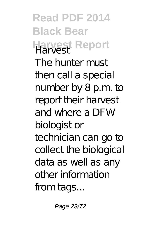**Read PDF 2014 Black Bear Harvest Report** The hunter must then call a special number by 8 p.m. to report their harvest and where a DFW biologist or technician can go to collect the biological data as well as any other information from tags...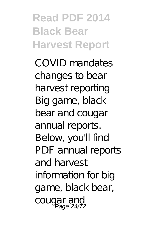**Read PDF 2014 Black Bear Harvest Report**

COVID mandates changes to bear harvest reporting Big game, black bear and cougar annual reports. Below, you'll find PDF annual reports and harvest information for big game, black bear, cougar and Page 24/72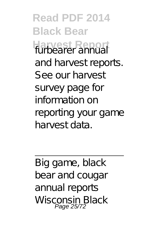**Read PDF 2014 Black Bear Harvest Report** furbearer annual and harvest reports. See our harvest survey page for information on reporting your game harvest data.

Big game, black bear and cougar annual reports Wisconsin Black<br>Page 25/72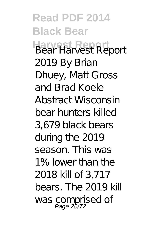**Read PDF 2014 Black Bear Harvest Report** Bear Harvest Report 2019 By Brian Dhuey, Matt Gross and Brad Koele Abstract Wisconsin bear hunters killed 3,679 black bears during the 2019 season. This was 1% lower than the 2018 kill of 3,717 bears. The 2019 kill was comprised of<br>Page 26/72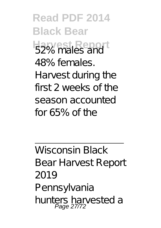**Read PDF 2014 Black Bear Harvest Report** 52% males and 48% females. Harvest during the first 2 weeks of the season accounted for 65% of the

Wisconsin Black Bear Harvest Report 2019 Pennsylvania hunters harvested a Page 27/72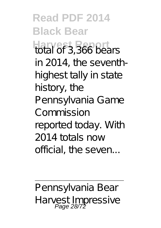**Read PDF 2014 Black Bear Harvest Report** total of 3,366 bears in 2014, the seventhhighest tally in state history, the Pennsylvania Game Commission reported today. With 2014 totals now official, the seven...

Pennsylvania Bear Harvest Impressive Page 28/72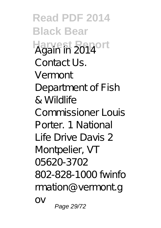**Read PDF 2014 Black Bear Harvest Report** Again in 2014 Contact Us. Vermont Department of Fish & Wildlife Commissioner Louis Porter. 1 National Life Drive Davis 2 Montpelier, VT 05620-3702 802-828-1000 fwinfo rmation@vermont.g  $\bigcap V$ Page 29/72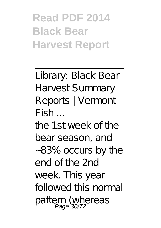**Read PDF 2014 Black Bear Harvest Report**

Library: Black Bear Harvest Summary Reports | Vermont Fish ... the 1st week of the bear season, and 83% occurs by the end of the 2nd week. This year followed this normal pattern (whereas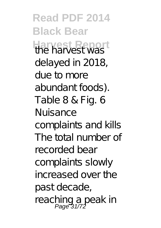**Read PDF 2014 Black Bear Harvest Report** the harvest was delayed in 2018, due to more abundant foods). Table 8 & Fig. 6 Nuisance complaints and kills The total number of recorded bear complaints slowly increased over the past decade, reaching a peak in<br>Page 31/72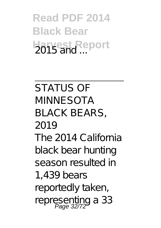**Read PDF 2014 Black Bear Harvest, Report** 

STATUS OF MINNESOTA BLACK BEARS, 2019 The 2014 California black bear hunting season resulted in 1,439 bears reportedly taken, representing a 33<br>Page 32/72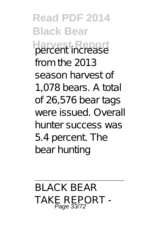**Read PDF 2014 Black Bear Harvest Report** percent increase from the 2013 season harvest of 1,078 bears. A total of 26,576 bear tags were issued. Overall hunter success was 5.4 percent. The bear hunting

BLACK BEAR TAKE REPORT -<br>*Page 33/72*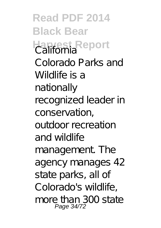**Read PDF 2014 Black Bear Harvest Report** Colorado Parks and Wildlife is a nationally recognized leader in conservation, outdoor recreation and wildlife management. The agency manages 42 state parks, all of Colorado's wildlife, more than 300 state Page 34/72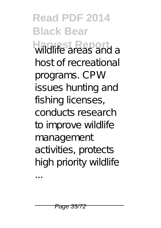**Read PDF 2014 Black Bear Harvest Report** wildlife areas and a host of recreational programs. CPW issues hunting and fishing licenses, conducts research to improve wildlife management activities, protects high priority wildlife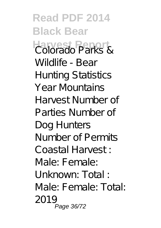**Read PDF 2014 Black Bear Harvest Report** Colorado Parks & Wildlife - Bear Hunting Statistics Year Mountains Harvest Number of Parties Number of Dog Hunters Number of Permits Coastal Harvest : Male: Female: Unknown: Total : Male: Female: Total: 2019 Page 36/72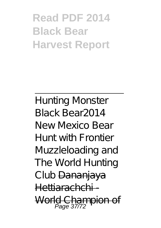## **Read PDF 2014 Black Bear Harvest Report**

Hunting Monster Black Bear*2014 New Mexico Bear Hunt with Frontier Muzzleloading and The World Hunting Club* Dananjaya Hettiarachchi - World Champion of Page 37/72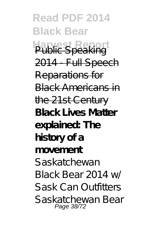**Read PDF 2014 Black Bear Public Speak** 2014 Full Speech Reparations for Black Americans in the 21st Century **Black Lives Matter explained: The history of a movement** *Saskatchewan Black Bear 2014 w/ Sask Can Outfitters Saskatchewan Bear* Page 38/72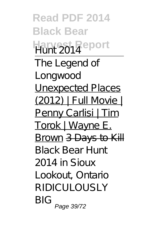**Read PDF 2014 Black Bear Harvest Report** *Hunt 2014* The Legend of Longwood Unexpected Places (2012) | Full Movie | Penny Carlisi | Tim Torok | Wayne E. Brown 3 Days to Kill *Black Bear Hunt 2014 in Sioux Lookout, Ontario RIDICULOUSLY BIG* Page 39/72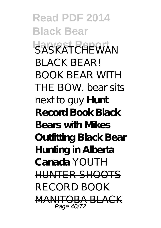**Read PDF 2014 Black Bear Harvest Report** *SASKATCHEWAN BLACK BEAR! BOOK BEAR WITH THE BOW. bear sits next to guy* **Hunt Record Book Black Bears with Mikes Outfitting Black Bear Hunting in Alberta Canada** YOUTH HUNTER SHOOTS RECORD BOOK A RIACK Page 40/72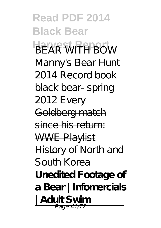**Read PDF 2014 Black Bear HARVEST REPORT** *Manny's Bear Hunt 2014 Record book black bear- spring 2012* Every Goldberg match since his return: WWE Playlist History of North and South Korea **Unedited Footage of a Bear | Infomercials | Adult Swim** Page 41/72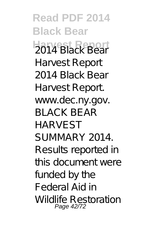**Read PDF 2014 Black Bear Harvest Report** 2014 Black Bear **Harvest Report** 2014 Black Bear **Harvest Report** www.dec.ny.gov. BLACK BEAR HARVEST SUMMARY 2014. Results reported in this document were funded by the Federal Aid in Wildlife Restoration Page 42/72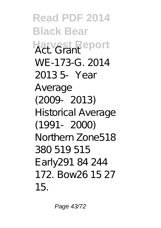**Read PDF 2014 Black Bear Harvest Report** WE-173-G. 2014 2013 5‐Year Average (2009‐2013) Historical Average (1991‐2000) Northern Zone518 380 519 515 Early291 84 244 172. Bow26 15 27 15.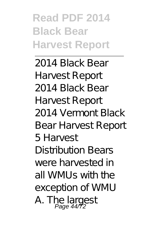**Read PDF 2014 Black Bear Harvest Report**

2014 Black Bear **Harvest Report** 2014 Black Bear **Harvest Report** 2014 Vermont Black Bear Harvest Report 5 Harvest Distribution Bears were harvested in all WMUs with the exception of WMU A. The largest<br>Page 44/72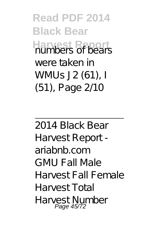**Read PDF 2014 Black Bear Harvest Report** numbers of bears were taken in WMUs J2 (61), I (51), Page 2/10

2014 Black Bear Harvest Report ariabnb.com GMU Fall Male Harvest Fall Female Harvest Total Harvest Number Page 45/72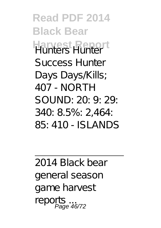**Read PDF 2014 Black Bear Harvest Report** Success Hunter Days Days *Kills*; 407 - NORTH SOUND: 20: 9: 29: 340: 8.5%: 2,464: 85: 410 - ISLANDS

2014 Black bear general season game harvest reports S<br>iae 46/72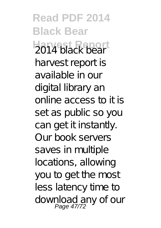**Read PDF 2014 Black Bear Harvest Report** 2014 black bear harvest report is available in our digital library an online access to it is set as public so you can get it instantly. Our book servers saves in multiple locations, allowing you to get the most less latency time to download any of our Page 47/72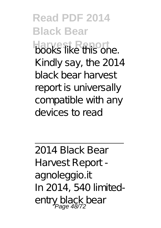**Read PDF 2014 Black Bear Harvest Report** Kindly say, the 2014 black bear harvest report is universally compatible with any devices to read

2014 Black Bear Harvest Report agnoleggio.it In 2014, 540 limitedentry black bear Page 48/72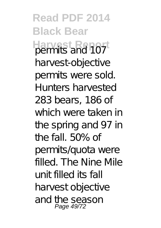**Read PDF 2014 Black Bear Harvest Report** permits and 107 harvest-objective permits were sold. Hunters harvested 283 bears, 186 of which were taken in the spring and 97 in the fall. 50% of permits/quota were filled. The Nine Mile unit filled its fall harvest objective and the season Page 49/72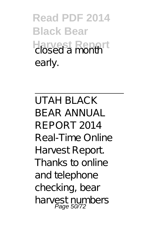**Read PDF 2014 Black Bear Harvest Report** closed a month early.

UTAH BLACK BEAR ANNUAL REPORT 2014 Real-Time Online Harvest Report. Thanks to online and telephone checking, bear harvest numbers<br>Page 50/72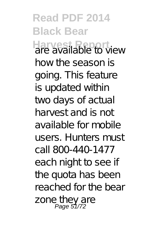**Read PDF 2014 Black Bear Harvest Report** are available to view how the season is going. This feature is updated within two days of actual harvest and is not available for mobile users. Hunters must call 800-440-1477 each night to see if the quota has been reached for the bear zone they are<br>Page 51/72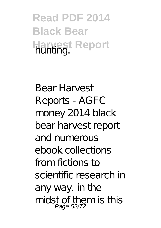**Read PDF 2014 Black Bear Harvest Report** hunting.

Bear Harvest Reports - AGFC money 2014 black bear harvest report and numerous ebook collections from fictions to scientific research in any way. in the midst of them is this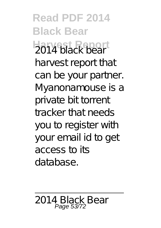**Read PDF 2014 Black Bear Harvest Report** 2014 black bear harvest report that can be your partner. Myanonamouse is a private bit torrent tracker that needs you to register with your email id to get access to its database.

2014 Black Bear Page 53/72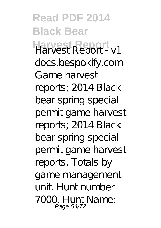**Read PDF 2014 Black Bear Harvest Report** Harvest Report - v1 docs.bespokify.com Game harvest reports; 2014 Black bear spring special permit game harvest reports; 2014 Black bear spring special permit game harvest reports. Totals by game management unit. Hunt number 7000. Hunt Name: Page 54/72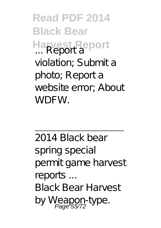**Read PDF 2014 Black Bear Harvest Report** violation; Submit a photo; Report a website error; About WDFW.

2014 Black bear spring special permit game harvest reports ... Black Bear Harvest by Weapon-type.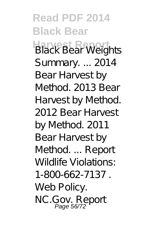**Read PDF 2014 Black Bear Black Bear Weights** Summary. ... 2014 Bear Harvest by Method. 2013 Bear Harvest by Method. 2012 Bear Harvest by Method. 2011 Bear Harvest by Method. ... Report Wildlife Violations: 1-800-662-7137 . Web Policy. NC.Gov. Report Page 56/72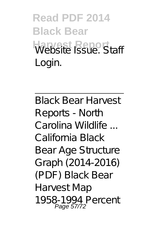**Read PDF 2014 Black Bear Website Report** Login.

Black Bear Harvest Reports - North Carolina Wildlife ... California Black Bear Age Structure Graph (2014-2016) (PDF) Black Bear Harvest Map 1958-1994 Percent Page 57/72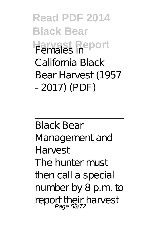**Read PDF 2014 Black Bear Harvest Report** California Black Bear Harvest (1957 - 2017) (PDF)

Black Bear Management and Harvest The hunter must then call a special number by 8 p.m. to report their harvest<br>Page 58/72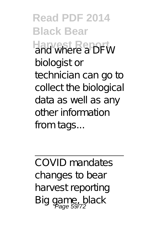**Read PDF 2014 Black Bear Harvest Report** and where a DFW biologist or technician can go to collect the biological data as well as any other information from tags...

COVID mandates changes to bear harvest reporting Big game, black Page 59/72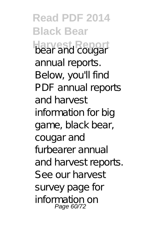**Read PDF 2014 Black Bear Harvest Report** bear and cougar annual reports. Below, you'll find PDF annual reports and harvest information for big game, black bear, cougar and furbearer annual and harvest reports. See our harvest survey page for information on Page 60/72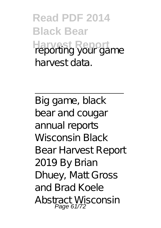**Read PDF 2014 Black Bear Harvest Report** harvest data.

Big game, black bear and cougar annual reports Wisconsin Black Bear Harvest Report 2019 By Brian Dhuey, Matt Gross and Brad Koele Abstract Wisconsin Page 61/72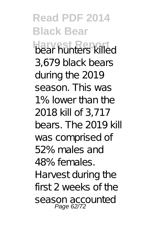**Read PDF 2014 Black Bear Harvest Report** bear hunters killed 3,679 black bears during the 2019 season. This was 1% lower than the 2018 kill of 3,717 bears. The 2019 kill was comprised of 52% males and 48% females. Harvest during the first 2 weeks of the season accounted Page 62/72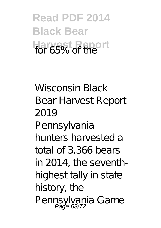**Read PDF 2014 Black Bear Harvest Report** for 65% of the

Wisconsin Black Bear Harvest Report 2019 Pennsylvania hunters harvested a total of 3,366 bears in 2014, the seventhhighest tally in state history, the Pennsylvania Game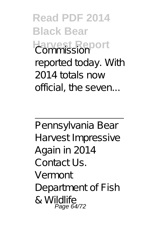**Read PDF 2014 Black Bear Harvest Report** Commission reported today. With 2014 totals now official, the seven...

Pennsylvania Bear Harvest Impressive Again in 2014 Contact Us. Vermont Department of Fish & Wildlife Page 64/72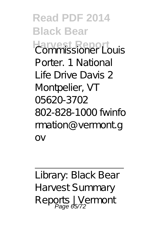**Read PDF 2014 Black Bear Harvest Report** Porter. 1 National Life Drive Davis 2 Montpelier, VT 05620-3702 802-828-1000 fwinfo rmation@vermont.g  $\bigcap V$ 

Library: Black Bear Harvest Summary Reports | Vermont<br>Page 65/72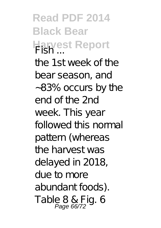**Read PDF 2014 Black Bear Harvest Report** the 1st week of the bear season, and 83% occurs by the end of the 2nd week. This year followed this normal pattern (whereas the harvest was delayed in 2018, due to more abundant foods). Table 8 & Fig. 6<br>Page 66/72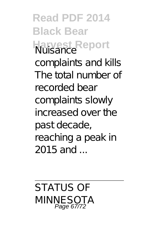**Read PDF 2014 Black Bear Harvest Report** complaints and kills The total number of recorded bear complaints slowly increased over the past decade, reaching a peak in  $2015$  and

STATUS OF MINNESOTA Page 67/72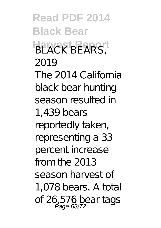**Read PDF 2014 Black Bear** BLACK BEARS<sup>T</sup> 2019 The 2014 California black bear hunting season resulted in 1,439 bears reportedly taken, representing a 33 percent increase from the 2013 season harvest of 1,078 bears. A total of 26,576 beartags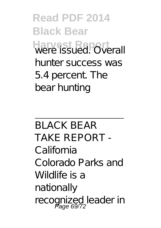**Read PDF 2014 Black Bear** Harvest Report hunter success was 5.4 percent. The bear hunting

BLACK BEAR TAKE REPORT - California Colorado Parks and Wildlife is a nationally recognized leader in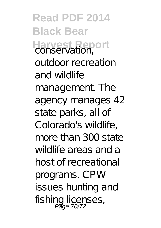**Read PDF 2014 Black Bear Harvest Report** conservation, outdoor recreation and wildlife management. The agency manages 42 state parks, all of Colorado's wildlife, more than 300 state wildlife areas and a host of recreational programs. CPW issues hunting and fishing licenses, Page 70/72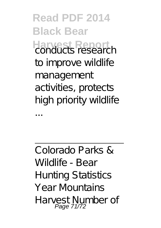**Read PDF 2014 Black Bear Harvest Report** conducts research to improve wildlife management activities, protects high priority wildlife

...

Colorado Parks & Wildlife - Bear Hunting Statistics Year Mountains Harvest Number of Page 71/72